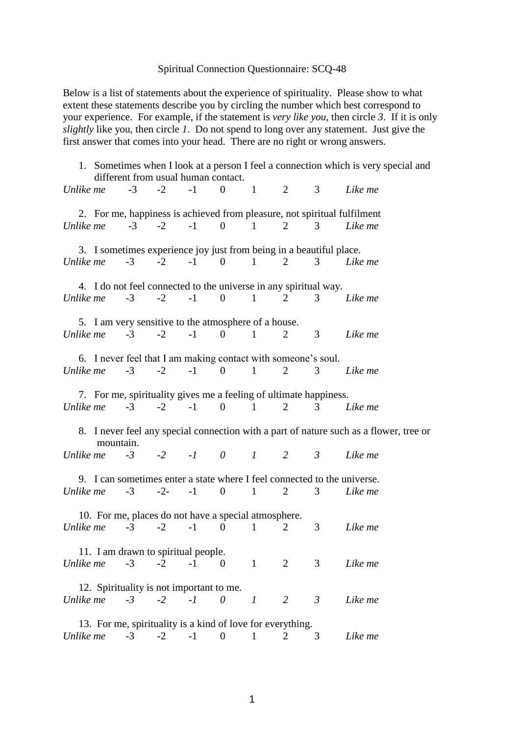## Spiritual Connection Questionnaire: SCQ-48

Below is a list of statements about the experience of spirituality. Please show to what extent these statements describe you by circling the number which best correspond to your experience. For example, if the statement is *very like you*, then circle *3*. If it is only *slightly* like you, then circle *1*. Do not spend to long over any statement. Just give the first answer that comes into your head. There are no right or wrong answers.

| 1. Sometimes when I look at a person I feel a connection which is very special and<br>different from usual human contact. |                                                                  |      |                            |        |                                                                   |                                 |                |                |                                                                                        |  |  |
|---------------------------------------------------------------------------------------------------------------------------|------------------------------------------------------------------|------|----------------------------|--------|-------------------------------------------------------------------|---------------------------------|----------------|----------------|----------------------------------------------------------------------------------------|--|--|
|                                                                                                                           |                                                                  |      | Unlike $me$ $-3$ $-2$ $-1$ |        |                                                                   | $0 \qquad 1$                    |                | $2 \qquad 3$   | Like me                                                                                |  |  |
| 2. For me, happiness is achieved from pleasure, not spiritual fulfilment                                                  |                                                                  |      |                            |        |                                                                   |                                 |                |                |                                                                                        |  |  |
| Unlike me                                                                                                                 |                                                                  |      | $-3$ $-2$ $-1$             |        | $\begin{array}{ccc} \hline \end{array}$<br>$\overline{0}$         |                                 | 2              | 3              | Like me                                                                                |  |  |
| 3. I sometimes experience joy just from being in a beautiful place.<br>$-3$ $-2$ $-1$ 0 1 2 3                             |                                                                  |      |                            |        |                                                                   |                                 |                |                |                                                                                        |  |  |
|                                                                                                                           | Unlike me                                                        |      |                            |        |                                                                   |                                 |                |                | Like me                                                                                |  |  |
|                                                                                                                           | 4. I do not feel connected to the universe in any spiritual way. |      |                            |        |                                                                   |                                 |                |                |                                                                                        |  |  |
|                                                                                                                           | Unlike me                                                        | $-3$ | $-2$                       | $-1$   | $\mathbf{0}$                                                      | $\mathbf{1}$                    | 2              | 3              | Like me                                                                                |  |  |
|                                                                                                                           | 5. I am very sensitive to the atmosphere of a house.             |      |                            |        |                                                                   |                                 |                |                |                                                                                        |  |  |
|                                                                                                                           | Unlike me                                                        |      |                            |        | $-3$ $-2$ $-1$ 0 1                                                |                                 | 2              | 3 <sup>7</sup> | Like me                                                                                |  |  |
|                                                                                                                           |                                                                  |      |                            |        | 6. I never feel that I am making contact with someone's soul.     |                                 |                |                |                                                                                        |  |  |
|                                                                                                                           | Unlike me                                                        | $-3$ | $-2$                       | $-1$ 0 |                                                                   | $\sim$ $\sim$ $1$ $\sim$ $\sim$ | 2              | 3              | Like me                                                                                |  |  |
|                                                                                                                           |                                                                  |      |                            |        | 7. For me, spirituality gives me a feeling of ultimate happiness. |                                 |                |                |                                                                                        |  |  |
|                                                                                                                           |                                                                  |      |                            |        | Unlike me $-3$ $-2$ $-1$ 0 1 2                                    |                                 |                | $\overline{3}$ | Like me                                                                                |  |  |
|                                                                                                                           | mountain.                                                        |      |                            |        |                                                                   |                                 |                |                | 8. I never feel any special connection with a part of nature such as a flower, tree or |  |  |
|                                                                                                                           |                                                                  |      |                            |        | Unlike me $-3$ $-2$ $-1$ 0 1                                      |                                 | $\overline{2}$ | $\mathcal{S}$  | Like me                                                                                |  |  |
|                                                                                                                           |                                                                  |      |                            |        |                                                                   |                                 |                |                | 9. I can sometimes enter a state where I feel connected to the universe.               |  |  |
|                                                                                                                           | Unlike me                                                        |      |                            |        | $-3$ $-2$ $-1$ 0 1 2                                              |                                 | $\overline{3}$ |                | Like me                                                                                |  |  |
| 10. For me, places do not have a special atmosphere.                                                                      |                                                                  |      |                            |        |                                                                   |                                 |                |                |                                                                                        |  |  |
|                                                                                                                           | Unlike me                                                        | $-3$ | $-2$                       | $-1$   | $\overline{0}$                                                    | $\mathbf{1}$                    | 2              | 3              | Like me                                                                                |  |  |
| 11. I am drawn to spiritual people.                                                                                       |                                                                  |      |                            |        |                                                                   |                                 |                |                |                                                                                        |  |  |
|                                                                                                                           |                                                                  |      | Unlike me $-3 -2 -1 0$     |        |                                                                   | $\sim$ $\sim$ $1$               | $\overline{2}$ | 3              | Like me                                                                                |  |  |
| 12. Spirituality is not important to me.                                                                                  |                                                                  |      |                            |        |                                                                   |                                 |                |                |                                                                                        |  |  |
|                                                                                                                           |                                                                  |      |                            |        | Unlike me $-3$ $-2$ $-1$ 0 1                                      |                                 | 2              | $\mathfrak{Z}$ | Like me                                                                                |  |  |
|                                                                                                                           |                                                                  |      |                            |        | 13. For me, spirituality is a kind of love for everything.        |                                 |                |                |                                                                                        |  |  |
|                                                                                                                           |                                                                  |      |                            |        | Unlike me $-3$ $-2$ $-1$ 0 1                                      |                                 | $\overline{2}$ | 3              | Like me                                                                                |  |  |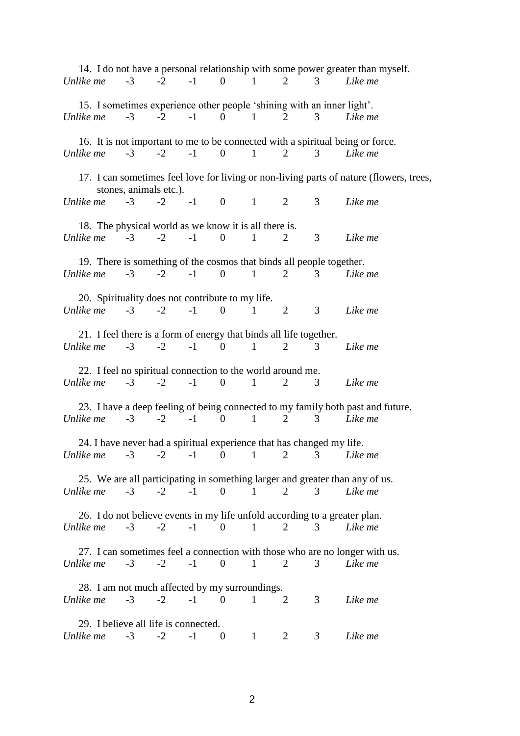|           | Unlike me                                                                                                         |      |                |        | $-3$ $-2$ $-1$ 0 1 2       |                |                |                | 14. I do not have a personal relationship with some power greater than myself.<br>3 Like me  |  |
|-----------|-------------------------------------------------------------------------------------------------------------------|------|----------------|--------|----------------------------|----------------|----------------|----------------|----------------------------------------------------------------------------------------------|--|
| Unlike me | 15. I sometimes experience other people 'shining with an inner light'.                                            |      | $-3$ $-2$ $-1$ |        | $\overline{0}$<br>$\sim$ 1 |                | $\overline{2}$ | 3              | Like me                                                                                      |  |
|           | Unlike me                                                                                                         |      |                |        | $-3$ $-2$ $-1$ 0 1 2       |                |                | $\mathfrak{Z}$ | 16. It is not important to me to be connected with a spiritual being or force.<br>Like me    |  |
|           | 17. I can sometimes feel love for living or non-living parts of nature (flowers, trees,<br>stones, animals etc.). |      |                |        |                            |                |                |                |                                                                                              |  |
|           | Unlike me $-3$ $-2$ $-1$ 0 1 2                                                                                    |      |                |        |                            |                |                | 3              | Like me                                                                                      |  |
|           | 18. The physical world as we know it is all there is.<br>Unlike me $-3$ $-2$ $-1$ 0 1                             |      |                |        |                            | $\overline{2}$ |                | $\mathfrak{Z}$ | Like me                                                                                      |  |
|           | 19. There is something of the cosmos that binds all people together.<br>Unlike me                                 |      | $-3$ $-2$      | $-1$   | $\mathbf{0}$               | $\mathbf{1}$   | 2              | 3              | Like me                                                                                      |  |
|           | 20. Spirituality does not contribute to my life.<br>Unlike me $-3$ $-2$ $-1$ 0 1                                  |      |                |        |                            |                | $\overline{2}$ | 3              | Like me                                                                                      |  |
| Unlike me | 21. I feel there is a form of energy that binds all life together.                                                | $-3$ | $-2$           | $-1$   | $\overline{0}$             | $\mathbf{1}$   | $\overline{2}$ | 3              | Like me                                                                                      |  |
|           | 22. I feel no spiritual connection to the world around me.<br>Unlike $me$ $-3$ $-2$                               |      |                |        | $-1$ 0 1 2                 |                |                | 3              | Like me                                                                                      |  |
|           | Unlike me                                                                                                         | $-3$ | $-2$           | $-1$ 0 |                            | $\mathbf{1}$   | 2              |                | 23. I have a deep feeling of being connected to my family both past and future.<br>3 Like me |  |
|           | 24. I have never had a spiritual experience that has changed my life.                                             |      |                |        |                            |                |                |                | Unlike me $-3$ $-2$ $-1$ 0 1 2 3 Like me                                                     |  |
|           | Unlike me $-3$ $-2$ $-1$ 0 1 2                                                                                    |      |                |        |                            |                |                | 3              | 25. We are all participating in something larger and greater than any of us.<br>Like me      |  |
| Unlike me |                                                                                                                   |      |                |        | $-3$ $-2$ $-1$ 0 1 2       |                |                | 3 <sup>7</sup> | 26. I do not believe events in my life unfold according to a greater plan.<br>Like me        |  |
| Unlike me |                                                                                                                   |      | $-3$ $-2$ $-1$ |        | $\overline{0}$             | $\sim$ 1       | $\overline{2}$ | 3              | 27. I can sometimes feel a connection with those who are no longer with us.<br>Like me       |  |
| Unlike me | 28. I am not much affected by my surroundings.                                                                    |      |                |        | $-3$ $-2$ $-1$ 0 1         |                | 2              | 3              | Like me                                                                                      |  |
| Unlike me | 29. I believe all life is connected.                                                                              | $-3$ | $-2$           | $-1$   | $\boldsymbol{0}$           | $\mathbf{1}$   | 2              | $\mathfrak{Z}$ | Like me                                                                                      |  |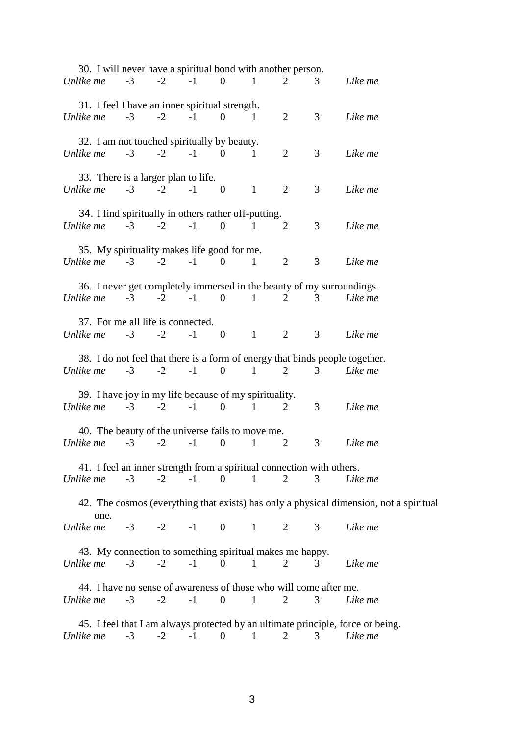| 30. I will never have a spiritual bond with another person.           |                  |           |      |                          |              |                |                |                                                                                            |  |
|-----------------------------------------------------------------------|------------------|-----------|------|--------------------------|--------------|----------------|----------------|--------------------------------------------------------------------------------------------|--|
| Unlike me                                                             | $-3$ $-2$ $-1$ 0 |           |      |                          | 1            | 2              | 3              | Like me                                                                                    |  |
| 31. I feel I have an inner spiritual strength.                        |                  |           |      |                          |              |                |                |                                                                                            |  |
| Unlike me                                                             | $-3$             | $-2$      | $-1$ | $\overline{0}$           | 1            | $\overline{2}$ | 3              | Like me                                                                                    |  |
|                                                                       |                  |           |      |                          |              |                |                |                                                                                            |  |
| 32. I am not touched spiritually by beauty.<br>Unlike me              | $-3$             | $-2$ $-1$ |      | $\Omega$                 | $\mathbf{1}$ | $\overline{2}$ | 3              | Like me                                                                                    |  |
|                                                                       |                  |           |      |                          |              |                |                |                                                                                            |  |
| 33. There is a larger plan to life.                                   |                  |           |      |                          |              |                |                |                                                                                            |  |
| Unlike me                                                             | $-3$             | $-2$      | $-1$ | $\overline{\phantom{0}}$ | $\mathbf{1}$ | $\overline{2}$ | 3              | Like me                                                                                    |  |
| 34. I find spiritually in others rather off-putting.                  |                  |           |      |                          |              |                |                |                                                                                            |  |
| Unlike $me$ $-3$ $-2$ $-1$                                            |                  |           |      | $\overline{0}$           | $\sim$ 1     | 2              | 3              | Like me                                                                                    |  |
|                                                                       |                  |           |      |                          |              |                |                |                                                                                            |  |
| 35. My spirituality makes life good for me.                           |                  |           |      |                          |              |                |                |                                                                                            |  |
| Unlike $me$ $-3$ $-2$ $-1$                                            |                  |           |      | $\mathbf{0}$             | $\,1\,$      | $\overline{2}$ | 3              | Like me                                                                                    |  |
|                                                                       |                  |           |      |                          |              |                |                | 36. I never get completely immersed in the beauty of my surroundings.                      |  |
| Unlike $me$ $-3$ $-2$ $-1$                                            |                  |           |      | $\overline{0}$           | $\mathbf{1}$ | $\overline{2}$ | 3              | Like me                                                                                    |  |
|                                                                       |                  |           |      |                          |              |                |                |                                                                                            |  |
| 37. For me all life is connected.<br>Unlike $me$ $-3$ $-2$            |                  |           | $-1$ | $\overline{\phantom{0}}$ | $\sim$ 1     | $\overline{2}$ | 3              | Like me                                                                                    |  |
|                                                                       |                  |           |      |                          |              |                |                |                                                                                            |  |
|                                                                       |                  |           |      |                          |              |                |                | 38. I do not feel that there is a form of energy that binds people together.               |  |
| Unlike me                                                             | $-3$             | $-2$      | $-1$ | $\theta$                 | $\mathbf{1}$ | $\overline{2}$ | 3              | Like me                                                                                    |  |
| 39. I have joy in my life because of my spirituality.                 |                  |           |      |                          |              |                |                |                                                                                            |  |
| Unlike $me$ $-3$ $-2$ $-1$                                            |                  |           |      | $\overline{0}$           | $\mathbf{1}$ | 2              | 3              | Like me                                                                                    |  |
|                                                                       |                  |           |      |                          |              |                |                |                                                                                            |  |
| 40. The beauty of the universe fails to move me.                      |                  |           |      |                          |              |                |                |                                                                                            |  |
| Unlike me                                                             | $-3$             | $-2$      | $-1$ | $\boldsymbol{0}$         | $\mathbf{1}$ | $\overline{2}$ | 3              | Like me                                                                                    |  |
| 41. I feel an inner strength from a spiritual connection with others. |                  |           |      |                          |              |                |                |                                                                                            |  |
| Unlike me                                                             | $-3$             | $-2$      | $-1$ | $\overline{0}$           | $\mathbf{1}$ | $\overline{2}$ | 3              | Like me                                                                                    |  |
|                                                                       |                  |           |      |                          |              |                |                |                                                                                            |  |
| one.                                                                  |                  |           |      |                          |              |                |                | 42. The cosmos (everything that exists) has only a physical dimension, not a spiritual     |  |
| Unlike me                                                             |                  |           |      | $-3$ $-2$ $-1$ 0 1       |              | $\overline{2}$ | 3 <sup>7</sup> | Like me                                                                                    |  |
|                                                                       |                  |           |      |                          |              |                |                |                                                                                            |  |
| 43. My connection to something spiritual makes me happy.              |                  |           |      |                          |              |                |                |                                                                                            |  |
| Unlike me                                                             | $-3$             | $-2$      | $-1$ | $\overline{0}$           | $\mathbf{1}$ | $\overline{2}$ | 3              | Like me                                                                                    |  |
| 44. I have no sense of awareness of those who will come after me.     |                  |           |      |                          |              |                |                |                                                                                            |  |
| Unlike me                                                             | $-3$             | $-2$      | $-1$ | $\overline{0}$           | 1            | 2              | 3              | Like me                                                                                    |  |
|                                                                       |                  |           |      |                          |              |                |                |                                                                                            |  |
| Unlike me                                                             | $-3$             | $-2$      | $-1$ | $\boldsymbol{0}$         | 1            | $\overline{2}$ | 3              | 45. I feel that I am always protected by an ultimate principle, force or being.<br>Like me |  |
|                                                                       |                  |           |      |                          |              |                |                |                                                                                            |  |